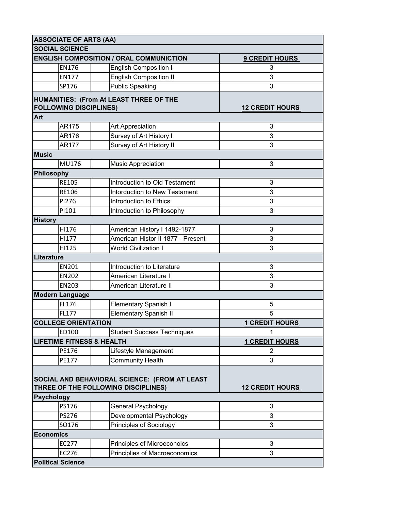| <b>ASSOCIATE OF ARTS (AA)</b> |                                      |                                                |                        |  |  |
|-------------------------------|--------------------------------------|------------------------------------------------|------------------------|--|--|
| <b>SOCIAL SCIENCE</b>         |                                      |                                                |                        |  |  |
|                               |                                      | <b>ENGLISH COMPOSITION / ORAL COMMUNICTION</b> | <b>9 CREDIT HOURS</b>  |  |  |
|                               | <b>EN176</b>                         | <b>English Composition I</b>                   | 3                      |  |  |
|                               | <b>EN177</b>                         | <b>English Composition II</b>                  | 3                      |  |  |
|                               | SP176                                | <b>Public Speaking</b>                         | 3                      |  |  |
|                               |                                      | HUMANITIES: (From At LEAST THREE OF THE        |                        |  |  |
|                               | <b>FOLLOWING DISCIPLINES)</b>        |                                                | <b>12 CREDIT HOURS</b> |  |  |
| Art                           |                                      |                                                |                        |  |  |
|                               | AR175                                | Art Appreciation                               | 3                      |  |  |
|                               | AR176                                | Survey of Art History I                        | 3                      |  |  |
|                               | <b>AR177</b>                         | Survey of Art History II                       | 3                      |  |  |
| <b>Music</b>                  |                                      |                                                |                        |  |  |
|                               | MU176                                | <b>Music Appreciation</b>                      | 3                      |  |  |
|                               | Philosophy                           |                                                |                        |  |  |
|                               | <b>RE105</b>                         | Introduction to Old Testament                  | 3                      |  |  |
|                               | <b>RE106</b>                         | Intorduction to New Testament                  | 3                      |  |  |
|                               | PI276                                | Introduction to Ethics                         | 3                      |  |  |
|                               | PI101                                | Introduction to Philosophy                     | 3                      |  |  |
| <b>History</b>                |                                      |                                                |                        |  |  |
|                               | HI176                                | American History I 1492-1877                   | 3                      |  |  |
|                               | HI177                                | American Histor II 1877 - Present              | 3                      |  |  |
|                               | HI125                                | <b>World Civilization I</b>                    | 3                      |  |  |
| Literature                    |                                      |                                                |                        |  |  |
|                               | EN201                                | Introduction to Literature                     | 3                      |  |  |
|                               | <b>EN202</b>                         | American Literature I                          | 3                      |  |  |
|                               | <b>EN203</b>                         | American Literature II                         | 3                      |  |  |
| <b>Modern Language</b>        |                                      |                                                |                        |  |  |
|                               | FL176                                | <b>Elementary Spanish I</b>                    | 5                      |  |  |
|                               | FL177                                | <b>Elementary Spanish II</b>                   | 5                      |  |  |
|                               | <b>COLLEGE ORIENTATION</b>           |                                                | <b>1 CREDIT HOURS</b>  |  |  |
|                               | ED100                                | <b>Student Success Techniques</b>              | 1                      |  |  |
|                               | <b>LIFETIME FITNESS &amp; HEALTH</b> |                                                | <b>1 CREDIT HOURS</b>  |  |  |
|                               | PE176                                | Lifestyle Management                           | $\overline{2}$         |  |  |
|                               | PE177                                | Community Health                               | 3                      |  |  |
|                               |                                      |                                                |                        |  |  |
|                               |                                      | SOCIAL AND BEHAVIORAL SCIENCE: (FROM AT LEAST  |                        |  |  |
|                               |                                      | THREE OF THE FOLLOWING DISCIPLINES)            | <b>12 CREDIT HOURS</b> |  |  |
|                               | <b>Psychology</b>                    |                                                |                        |  |  |
|                               | PS176                                | General Psychology                             | 3                      |  |  |
|                               | PS276                                | Developmental Psychology                       | 3                      |  |  |
|                               | SO176                                | Principles of Sociology                        | 3                      |  |  |
| <b>Economics</b>              |                                      |                                                |                        |  |  |
|                               | EC277                                | Principles of Microeconoics                    | 3                      |  |  |
|                               | EC276                                | Principlies of Macroeconomics                  | 3                      |  |  |
|                               | <b>Political Science</b>             |                                                |                        |  |  |